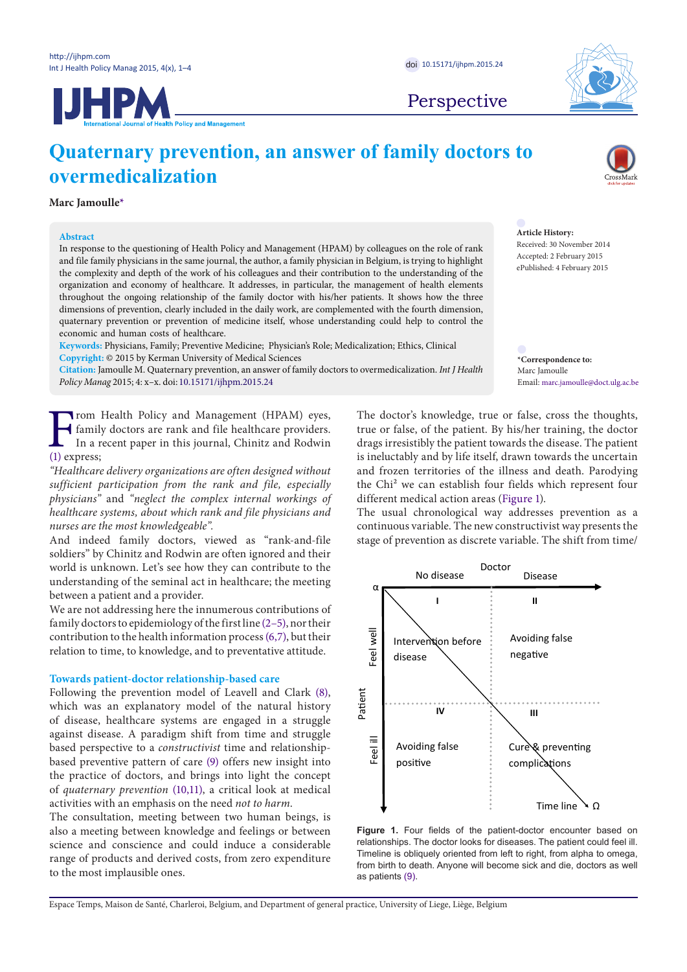

Perspective



**Marc Jamoulle[\\*](#page-0-0)**

# **Abstract**

In response to the questioning of Health Policy and Management (HPAM) by colleagues on the role of rank and file family physicians in the same journal, the author, a family physician in Belgium, is trying to highlight the complexity and depth of the work of his colleagues and their contribution to the understanding of the organization and economy of healthcare. It addresses, in particular, the management of health elements throughout the ongoing relationship of the family doctor with his/her patients. It shows how the three dimensions of prevention, clearly included in the daily work, are complemented with the fourth dimension, quaternary prevention or prevention of medicine itself, whose understanding could help to control the economic and human costs of healthcare.

**Keywords:** Physicians, Family; Preventive Medicine; Physician's Role; Medicalization; Ethics, Clinical **Copyright:** © 2015 by Kerman University of Medical Sciences

**Citation:** Jamoulle M. Quaternary prevention, an answer of family doctors to overmedicalization. *Int J Health Policy Manag* 2015; 4: x–x. doi: 10.15171/ijhpm.2015.24

[F](#page-2-0)rom Health Policy and Management (HPAM) eyes,<br>family doctors are rank and file healthcare providers.<br>In a recent paper in this journal, Chinitz and Rodwin<br>(1) express; family doctors are rank and file healthcare providers. In a recent paper in this journal, Chinitz and Rodwin (1) express;

*"Healthcare delivery organizations are often designed without sufficient participation from the rank and file, especially physicians"* and *"neglect the complex internal workings of healthcare systems, about which rank and file physicians and nurses are the most knowledgeable".*

And indeed family doctors, viewed as "rank-and-file soldiers" by Chinitz and Rodwin are often ignored and their world is unknown. Let's see how they can contribute to the understanding of the seminal act in healthcare; the meeting between a patient and a provider.

We are not addressing here the innumerous contributions of family doctors to epidemiology of the first line [\(2](#page-2-1)[–5\)](#page-2-2), nor their contribution to the health information process [\(6](#page-2-3)[,7\)](#page-2-4), but their relation to time, to knowledge, and to preventative attitude.

## **Towards patient-doctor relationship-based care**

Following the prevention model of Leavell and Clark [\(8](#page-2-5)), which was an explanatory model of the natural history of disease, healthcare systems are engaged in a struggle against disease. A paradigm shift from time and struggle based perspective to a *constructivist* time and relationshipbased preventive pattern of care [\(9](#page-2-6)) offers new insight into the practice of doctors, and brings into light the concept of *quaternary prevention* [\(10,](#page-2-7)[11](#page-2-8)), a critical look at medical activities with an emphasis on the need *not to harm*.

The consultation, meeting between two human beings, is also a meeting between knowledge and feelings or between science and conscience and could induce a considerable range of products and derived costs, from zero expenditure to the most implausible ones.

**Article History:**

Received: 30 November 2014 Accepted: 2 February 2015 ePublished: 4 February 2015

<span id="page-0-0"></span>**\*Correspondence to:** Marc Jamoulle Email: marc.jamoulle@doct.ulg.ac.be

The doctor's knowledge, true or false, cross the thoughts, true or false, of the patient. By his/her training, the doctor drags irresistibly the patient towards the disease. The patient is ineluctably and by life itself, drawn towards the uncertain and frozen territories of the illness and death. Parodying the Chi² we can establish four fields which represent four different medical action areas [\(Figure 1\)](#page-0-1).

The usual chronological way addresses prevention as a continuous variable. The new constructivist way presents the stage of prevention as discrete variable. The shift from time/

<span id="page-0-1"></span>

**Figure 1.** Four fields of the patient-doctor encounter based on relationships. The doctor looks for diseases. The patient could feel ill. Timeline is obliquely oriented from left to right, from alpha to omega, from birth to death. Anyone will become sick and die, doctors as well as patients ([9](#page-2-6)).

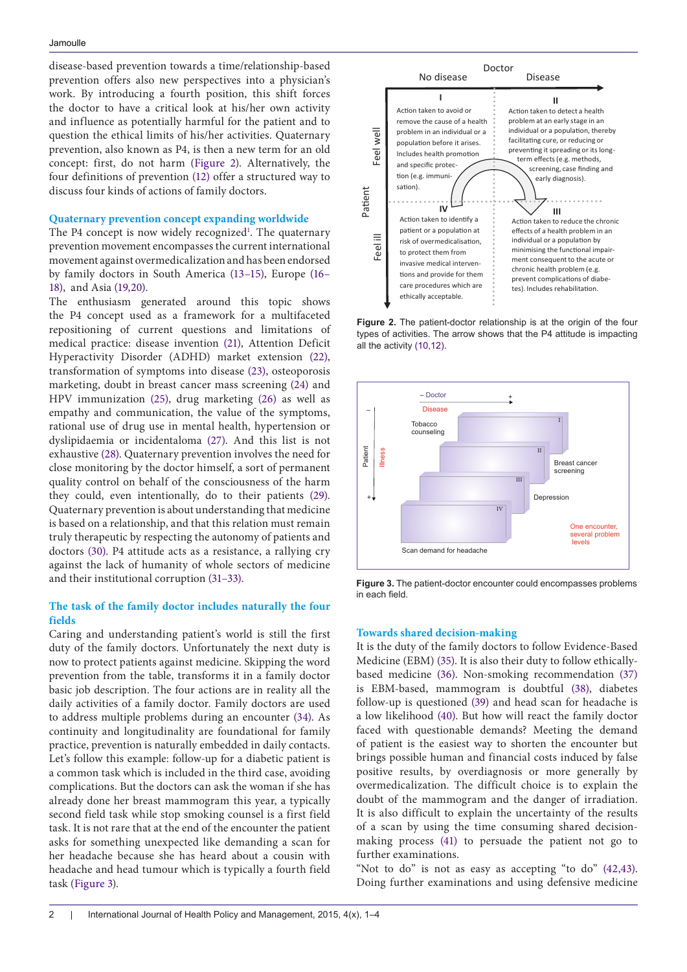disease-based prevention towards a time/relationship-based prevention offers also new perspectives into a physician's work. By introducing a fourth position, this shift forces the doctor to have a critical look at his/her own activity and influence as potentially harmful for the patient and to question the ethical limits of his/her activities. Quaternary prevention, also known as P4, is then a new term for an old concept: first, do not harm ([Figure 2\)](#page-1-0). Alternatively, the four definitions of prevention [\(12\)](#page-2-9) offer a structured way to discuss four kinds of actions of family doctors.

## **Quaternary prevention concept expanding worldwide**

The P4 concept is now widely recognized<sup>1</sup>. The quaternary prevention movement encompasses the current international movement against overmedicalization and has been endorsed by family doctors in South America [\(13–](#page-2-11)[15\)](#page-2-12), Europe [\(16](#page-2-13)– [18](#page-2-14)), and Asia [\(19,](#page-2-15)[20\)](#page-2-16).

The enthusiasm generated around this topic shows the P4 concept used as a framework for a multifaceted repositioning of current questions and limitations of medical practice: disease invention [\(21](#page-2-17)), Attention Deficit Hyperactivity Disorder (ADHD) market extension [\(22\)](#page-2-18), transformation of symptoms into disease [\(23\)](#page-2-19), osteoporosis marketing, doubt in breast cancer mass screening [\(24](#page-2-20)) and HPV immunization [\(25\)](#page-2-21), drug marketing [\(26](#page-2-22)) as well as empathy and communication, the value of the symptoms, rational use of drug use in mental health, hypertension or dyslipidaemia or incidentaloma [\(27](#page-2-23)). And this list is not exhaustive [\(28\)](#page-2-24). Quaternary prevention involves the need for close monitoring by the doctor himself, a sort of permanent quality control on behalf of the consciousness of the harm they could, even intentionally, do to their patients ([29\)](#page-3-0). Quaternary prevention is about understanding that medicine is based on a relationship, and that this relation must remain truly therapeutic by respecting the autonomy of patients and doctors [\(30](#page-3-1)). P4 attitude acts as a resistance, a rallying cry against the lack of humanity of whole sectors of medicine and their institutional corruption [\(31](#page-3-2)[–33\)](#page-3-3).

# **The task of the family doctor includes naturally the four fields**

Caring and understanding patient's world is still the first duty of the family doctors. Unfortunately the next duty is now to protect patients against medicine. Skipping the word prevention from the table, transforms it in a family doctor basic job description. The four actions are in reality all the daily activities of a family doctor. Family doctors are used to address multiple problems during an encounter [\(34\)](#page-3-4). As continuity and longitudinality are foundational for family practice, prevention is naturally embedded in daily contacts. Let's follow this example: follow-up for a diabetic patient is a common task which is included in the third case, avoiding complications. But the doctors can ask the woman if she has already done her breast mammogram this year, a typically second field task while stop smoking counsel is a first field task. It is not rare that at the end of the encounter the patient asks for something unexpected like demanding a scan for her headache because she has heard about a cousin with headache and head tumour which is typically a fourth field task [\(Figure 3](#page-1-1)).

<span id="page-1-0"></span>

**Figure 2.** The patient-doctor relationship is at the origin of the four types of activities. The arrow shows that the P4 attitude is impacting all the activity [\(10](#page-2-7),[12](#page-2-9)).

<span id="page-1-1"></span>

**Figure 3.** The patient-doctor encounter could encompasses problems in each field.

#### **Towards shared decision-making**

It is the duty of the family doctors to follow Evidence-Based Medicine (EBM) [\(35\)](#page-3-5). It is also their duty to follow ethicallybased medicine [\(36](#page-3-6)). Non-smoking recommendation [\(37](#page-3-7)) is EBM-based, mammogram is doubtful [\(38](#page-3-8)), diabetes follow-up is questioned [\(39\)](#page-3-9) and head scan for headache is a low likelihood [\(40\)](#page-3-10). But how will react the family doctor faced with questionable demands? Meeting the demand of patient is the easiest way to shorten the encounter but brings possible human and financial costs induced by false positive results, by overdiagnosis or more generally by overmedicalization. The difficult choice is to explain the doubt of the mammogram and the danger of irradiation. It is also difficult to explain the uncertainty of the results of a scan by using the time consuming shared decisionmaking process [\(41](#page-3-11)) to persuade the patient not go to further examinations.

"Not to do" is not as easy as accepting "to do" [\(42,](#page-3-12)[43](#page-3-13)). Doing further examinations and using defensive medicine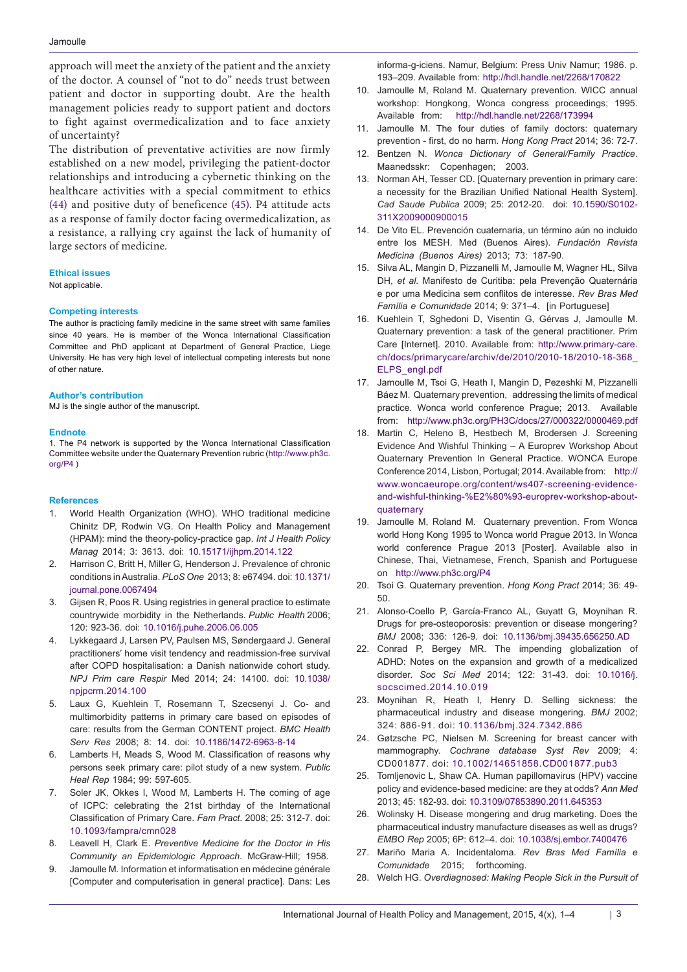approach will meet the anxiety of the patient and the anxiety of the doctor. A counsel of "not to do" needs trust between patient and doctor in supporting doubt. Are the health management policies ready to support patient and doctors to fight against overmedicalization and to face anxiety of uncertainty?

The distribution of preventative activities are now firmly established on a new model, privileging the patient-doctor relationships and introducing a cybernetic thinking on the healthcare activities with a special commitment to ethics [\(44\)](#page-3-14) and positive duty of beneficence [\(45\)](#page-3-15). P4 attitude acts as a response of family doctor facing overmedicalization, as a resistance, a rallying cry against the lack of humanity of large sectors of medicine.

## **Ethical issues**

Not applicable.

## **Competing interests**

The author is practicing family medicine in the same street with same families since 40 years. He is member of the Wonca International Classification Committee and PhD applicant at Department of General Practice, Liege University. He has very high level of intellectual competing interests but none of other nature.

#### **Author's contribution**

MJ is the single author of the manuscript.

## **Endnote**

<span id="page-2-10"></span>1. The P4 network is supported by the Wonca International Classification Committee website under the Quaternary Prevention rubric ([http://www.ph3c.](http://www.ph3c.org/P4) [org/P4](http://www.ph3c.org/P4) )

#### **References**

- <span id="page-2-0"></span>1. World Health Organization (WHO). WHO traditional medicine Chinitz DP, Rodwin VG. On Health Policy and Management (HPAM): mind the theory-policy-practice gap. *Int J Health Policy Manag* 2014; 3: 3613. doi: [10.15171/ijhpm.2014.122](http://dx.doi.org/10.15171/ijhpm.2014.122)
- <span id="page-2-1"></span>2. Harrison C, Britt H, Miller G, Henderson J. Prevalence of chronic conditions in Australia. *PLoS One* 2013; 8: e67494. doi: [10.1371/](http://dx.doi.org/10.1371/journal.pone.0067494) [journal.pone.0067494](http://dx.doi.org/10.1371/journal.pone.0067494)
- 3. Gijsen R, Poos R. Using registries in general practice to estimate countrywide morbidity in the Netherlands. *Public Health* 2006; 120: 923-36. doi: [10.1016/j.puhe.2006.06.005](http://dx.doi.org/10.1016/j.puhe.2006.06.005)
- 4. Lykkegaard J, Larsen PV, Paulsen MS, Søndergaard J. General practitioners' home visit tendency and readmission-free survival after COPD hospitalisation: a Danish nationwide cohort study. *NPJ Prim care Respir* Med 2014; 24: 14100. doi: [10.1038/](http://dx.doi.org/10.1038/npjpcrm.2014.100) [npjpcrm.2014.100](http://dx.doi.org/10.1038/npjpcrm.2014.100)
- <span id="page-2-2"></span>5. Laux G, Kuehlein T, Rosemann T, Szecsenyi J. Co- and multimorbidity patterns in primary care based on episodes of care: results from the German CONTENT project. *BMC Health Serv Res* 2008; 8: 14. doi: [10.1186/1472-6963-8-14](http://dx.doi.org/10.1038/npjpcrm.2014.100)
- <span id="page-2-3"></span>6. Lamberts H, Meads S, Wood M. Classification of reasons why persons seek primary care: pilot study of a new system. *Public Heal Rep* 1984; 99: 597-605.
- <span id="page-2-4"></span>7. Soler JK, Okkes I, Wood M, Lamberts H. The coming of age of ICPC: celebrating the 21st birthday of the International Classification of Primary Care. *Fam Pract*. 2008; 25: 312-7. doi: [10.1093/fampra/cmn028](http://dx.doi.org/10.1038/npjpcrm.2014.100)
- <span id="page-2-5"></span>8. Leavell H, Clark E. *Preventive Medicine for the Doctor in His Community an Epidemiologic Approach*. McGraw-Hill; 1958.
- <span id="page-2-6"></span>9. Jamoulle M. Information et informatisation en médecine générale [Computer and computerisation in general practice]. Dans: Les

<span id="page-2-7"></span>informa-g-iciens. Namur, Belgium: Press Univ Namur; 1986. p. 193–209. Available from: <http://hdl.handle.net/2268/170822>

- 10. Jamoulle M, Roland M. Quaternary prevention. WICC annual workshop: Hongkong, Wonca congress proceedings; 1995. Available from: <http://hdl.handle.net/2268/173994>
- <span id="page-2-8"></span>11. Jamoulle M. The four duties of family doctors: quaternary prevention - first, do no harm. *Hong Kong Pract* 2014; 36: 72-7.
- <span id="page-2-9"></span>12. Bentzen N. *Wonca Dictionary of General/Family Practice*. Maanedsskr: Copenhagen; 2003.
- <span id="page-2-11"></span>13. Norman AH, Tesser CD. [Quaternary prevention in primary care: a necessity for the Brazilian Unified National Health System]. *Cad Saude Publica* 2009; 25: 2012-20. doi: [10.1590/S0102-](http://dx.doi.org/10.1590/S0102-311X2009000900015) [311X2009000900015](http://dx.doi.org/10.1590/S0102-311X2009000900015)
- 14. De Vito EL. Prevención cuaternaria, un término aún no incluido entre los MESH. Med (Buenos Aires). *Fundación Revista Medicina (Buenos Aires)* 2013; 73: 187-90.
- <span id="page-2-12"></span>15. Silva AL, Mangin D, Pizzanelli M, Jamoulle M, Wagner HL, Silva DH, *et al.* Manifesto de Curitiba: pela Prevenção Quaternária e por uma Medicina sem conflitos de interesse. *Rev Bras Med Família e Comunidade* 2014; 9: 371–4. [in Portuguese]
- <span id="page-2-13"></span>16. Kuehlein T, Sghedoni D, Visentin G, Gérvas J, Jamoulle M. Quaternary prevention: a task of the general practitioner. Prim Care [Internet]. 2010. Available from: [http://www.primary-care.](http://www.primary-care.ch/docs/primarycare/archiv/de/2010/2010-18/2010-18-368_ELPS_engl.pdf) [ch/docs/primarycare/archiv/de/2010/2010-18/2010-18-368](http://www.primary-care.ch/docs/primarycare/archiv/de/2010/2010-18/2010-18-368_ELPS_engl.pdf)\_ ELPS\_[engl.pdf](http://www.primary-care.ch/docs/primarycare/archiv/de/2010/2010-18/2010-18-368_ELPS_engl.pdf)
- 17. Jamoulle M, Tsoi G, Heath I, Mangin D, Pezeshki M, Pizzanelli Báez M. Quaternary prevention, addressing the limits of medical practice. Wonca world conference Prague; 2013. Available from: <http://www.ph3c.org/PH3C/docs/27/000322/0000469.pdf>
- <span id="page-2-14"></span>18. Martin C, Heleno B, Hestbech M, Brodersen J. Screening Evidence And Wishful Thinking – A Europrev Workshop About Quaternary Prevention In General Practice. WONCA Europe Conference 2014, Lisbon, Portugal; 2014. Available from: http:// www.woncaeurope.org/content/ws407-screening-evidenceand-wishful-thinking-%E2%80%93-europrev-workshop-aboutquaternary
- <span id="page-2-15"></span>19. Jamoulle M, Roland M. Quaternary prevention. From Wonca world Hong Kong 1995 to Wonca world Prague 2013. In Wonca world conference Prague 2013 [Poster]. Available also in Chinese, Thai, Vietnamese, French, Spanish and Portuguese on http:/[/www.ph3c.org/P4](http://www.ph3c.org/P4)
- <span id="page-2-16"></span>20. Tsoi G. Quaternary prevention. *Hong Kong Pract* 2014; 36: 49- 50.
- <span id="page-2-17"></span>21. Alonso-Coello P, García-Franco AL, Guyatt G, Moynihan R. Drugs for pre-osteoporosis: prevention or disease mongering? *BMJ* 2008; 336: 126-9. doi: [10.1136/bmj.39435.656250.AD](http://dx.doi.org/10.1136/bmj.39435.656250.AD)
- <span id="page-2-18"></span>22. Conrad P, Bergey MR. The impending globalization of ADHD: Notes on the expansion and growth of a medicalized disorder. *Soc Sci Med* 2014; 122: 31-43. doi: [10.1016/j.](http://dx.doi.org/10.1016/j.socscimed.2014.10.019) [socscimed.2014.10.019](http://dx.doi.org/10.1016/j.socscimed.2014.10.019)
- <span id="page-2-19"></span>23. Moynihan R, Heath I, Henry D. Selling sickness: the pharmaceutical industry and disease mongering. *BMJ* 2002; 324: 886-91. doi: [10.1136/bmj.324.7342.886](http://dx.doi.org/10.1136/bmj.324.7342.886)
- <span id="page-2-20"></span>24. Gøtzsche PC, Nielsen M. Screening for breast cancer with mammography. *Cochrane database Syst Rev* 2009; 4: CD001877. doi: [10.1002/14651858.CD001877.pub3](http://dx.doi.org/10.1002/14651858.CD001877.pub3)
- <span id="page-2-21"></span>25. Tomljenovic L, Shaw CA. Human papillomavirus (HPV) vaccine policy and evidence-based medicine: are they at odds? *Ann Med* 2013; 45: 182-93. doi: [10.3109/07853890.2011.645353](http://dx.doi.org/10.3109/07853890.2011.645353)
- <span id="page-2-22"></span>26. Wolinsky H. Disease mongering and drug marketing. Does the pharmaceutical industry manufacture diseases as well as drugs? *EMBO Rep* 2005; 6P: 612–4. doi: [10.1038/sj.embor.7400476](http://dx.doi.org/10.1038/sj.embor.7400476)
- <span id="page-2-23"></span>27. Mariño Maria A. Incidentaloma. *Rev Bras Med Família e Comunidade* 2015; forthcoming.
- <span id="page-2-24"></span>28. Welch HG. *Overdiagnosed: Making People Sick in the Pursuit of*